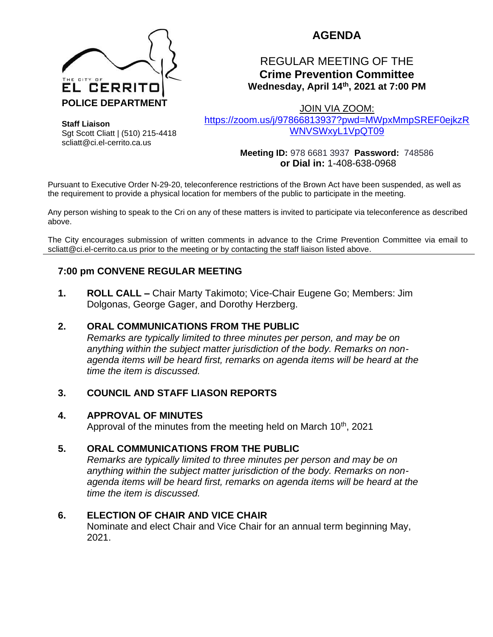

# **AGENDA**

# REGULAR MEETING OF THE **Crime Prevention Committee Wednesday, April 14th, 2021 at 7:00 PM**

JOIN VIA ZOOM:

[https://zoom.us/j/97866813937?pwd=MWpxMmpSREF0ejkzR](https://zoom.us/j/97866813937?pwd=MWpxMmpSREF0ejkzRWNVSWxyL1VpQT09) [WNVSWxyL1VpQT09](https://zoom.us/j/97866813937?pwd=MWpxMmpSREF0ejkzRWNVSWxyL1VpQT09)

**Staff Liaison** Sgt Scott Cliatt | (510) 215-4418 scliatt@ci.el-cerrito.ca.us

**Meeting ID:** 978 6681 3937 **Password:** 748586 **or Dial in:** 1-408-638-0968

Pursuant to Executive Order N-29-20, teleconference restrictions of the Brown Act have been suspended, as well as the requirement to provide a physical location for members of the public to participate in the meeting.

Any person wishing to speak to the Cri on any of these matters is invited to participate via teleconference as described above.

The City encourages submission of written comments in advance to the Crime Prevention Committee via email to scliatt@ci.el-cerrito.ca.us prior to the meeting or by contacting the staff liaison listed above.

## **7:00 pm CONVENE REGULAR MEETING**

**1. ROLL CALL –** Chair Marty Takimoto; Vice-Chair Eugene Go; Members: Jim Dolgonas, George Gager, and Dorothy Herzberg.

## **2. ORAL COMMUNICATIONS FROM THE PUBLIC**

*Remarks are typically limited to three minutes per person, and may be on anything within the subject matter jurisdiction of the body. Remarks on nonagenda items will be heard first, remarks on agenda items will be heard at the time the item is discussed.* 

## **3. COUNCIL AND STAFF LIASON REPORTS**

## **4. APPROVAL OF MINUTES**

Approval of the minutes from the meeting held on March 10<sup>th</sup>, 2021

## **5. ORAL COMMUNICATIONS FROM THE PUBLIC**

*Remarks are typically limited to three minutes per person and may be on anything within the subject matter jurisdiction of the body. Remarks on nonagenda items will be heard first, remarks on agenda items will be heard at the time the item is discussed.*

## **6. ELECTION OF CHAIR AND VICE CHAIR**

Nominate and elect Chair and Vice Chair for an annual term beginning May, 2021.